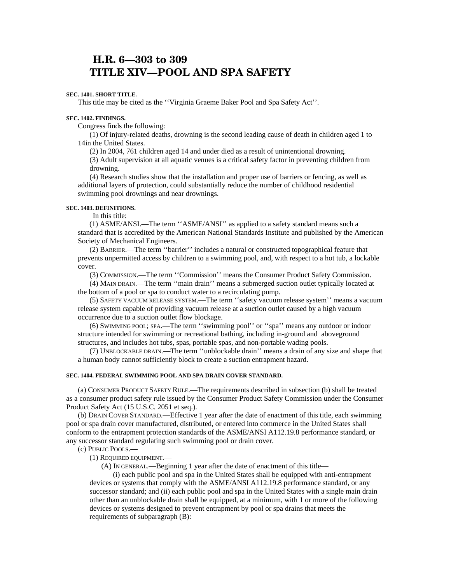# **H.R. 6—303 to 309 TITLE XIV—POOL AND SPA SAFETY**

## **SEC. 1401. SHORT TITLE.**

This title may be cited as the ''Virginia Graeme Baker Pool and Spa Safety Act''.

#### **SEC. 1402. FINDINGS.**

Congress finds the following:

(1) Of injury-related deaths, drowning is the second leading cause of death in children aged 1 to 14in the United States.

(2) In 2004, 761 children aged 14 and under died as a result of unintentional drowning. (3) Adult supervision at all aquatic venues is a critical safety factor in preventing children from drowning.

(4) Research studies show that the installation and proper use of barriers or fencing, as well as additional layers of protection, could substantially reduce the number of childhood residential swimming pool drownings and near drownings.

## **SEC. 1403. DEFINITIONS.**

In this title:

(1) ASME/ANSI.—The term ''ASME/ANSI'' as applied to a safety standard means such a standard that is accredited by the American National Standards Institute and published by the American Society of Mechanical Engineers.

(2) BARRIER.—The term ''barrier'' includes a natural or constructed topographical feature that prevents unpermitted access by children to a swimming pool, and, with respect to a hot tub, a lockable cover.

(3) COMMISSION.—The term ''Commission'' means the Consumer Product Safety Commission.

(4) MAIN DRAIN.—The term ''main drain'' means a submerged suction outlet typically located at the bottom of a pool or spa to conduct water to a recirculating pump.

(5) SAFETY VACUUM RELEASE SYSTEM.—The term ''safety vacuum release system'' means a vacuum release system capable of providing vacuum release at a suction outlet caused by a high vacuum occurrence due to a suction outlet flow blockage.

(6) SWIMMING POOL; SPA.—The term ''swimming pool'' or ''spa'' means any outdoor or indoor structure intended for swimming or recreational bathing, including in-ground and aboveground structures, and includes hot tubs, spas, portable spas, and non-portable wading pools.

(7) UNBLOCKABLE DRAIN.—The term ''unblockable drain'' means a drain of any size and shape that a human body cannot sufficiently block to create a suction entrapment hazard.

#### **SEC. 1404. FEDERAL SWIMMING POOL AND SPA DRAIN COVER STANDARD.**

(a) CONSUMER PRODUCT SAFETY RULE.—The requirements described in subsection (b) shall be treated as a consumer product safety rule issued by the Consumer Product Safety Commission under the Consumer Product Safety Act (15 U.S.C. 2051 et seq.).

(b) DRAIN COVER STANDARD.—Effective 1 year after the date of enactment of this title, each swimming pool or spa drain cover manufactured, distributed, or entered into commerce in the United States shall conform to the entrapment protection standards of the ASME/ANSI A112.19.8 performance standard, or any successor standard regulating such swimming pool or drain cover.

(c) PUBLIC POOLS.—

(1) REQUIRED EQUIPMENT.—

(A) IN GENERAL.—Beginning 1 year after the date of enactment of this title—

 (i) each public pool and spa in the United States shall be equipped with anti-entrapment devices or systems that comply with the ASME/ANSI A112.19.8 performance standard, or any successor standard; and (ii) each public pool and spa in the United States with a single main drain other than an unblockable drain shall be equipped, at a minimum, with 1 or more of the following devices or systems designed to prevent entrapment by pool or spa drains that meets the requirements of subparagraph (B):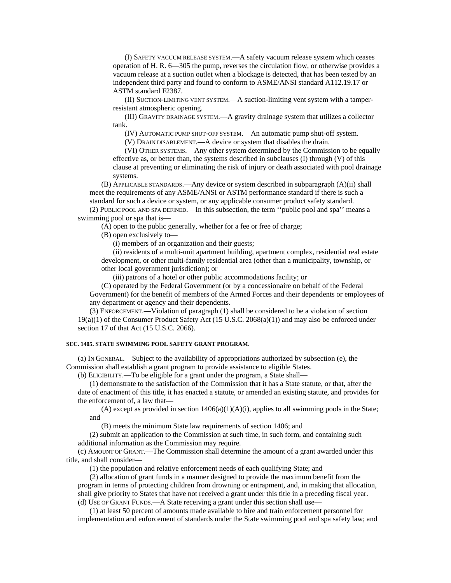(I) SAFETY VACUUM RELEASE SYSTEM.—A safety vacuum release system which ceases operation of H. R. 6—305 the pump, reverses the circulation flow, or otherwise provides a vacuum release at a suction outlet when a blockage is detected, that has been tested by an independent third party and found to conform to ASME/ANSI standard A112.19.17 or ASTM standard F2387.

 (II) SUCTION-LIMITING VENT SYSTEM.—A suction-limiting vent system with a tamper resistant atmospheric opening.

 (III) GRAVITY DRAINAGE SYSTEM.—A gravity drainage system that utilizes a collector tank.

(IV) AUTOMATIC PUMP SHUT-OFF SYSTEM.—An automatic pump shut-off system.

(V) DRAIN DISABLEMENT.—A device or system that disables the drain.

 (VI) OTHER SYSTEMS.—Any other system determined by the Commission to be equally effective as, or better than, the systems described in subclauses (I) through (V) of this clause at preventing or eliminating the risk of injury or death associated with pool drainage systems.

 (B) APPLICABLE STANDARDS.—Any device or system described in subparagraph (A)(ii) shall meet the requirements of any ASME/ANSI or ASTM performance standard if there is such a standard for such a device or system, or any applicable consumer product safety standard.

 (2) PUBLIC POOL AND SPA DEFINED.—In this subsection, the term ''public pool and spa'' means a swimming pool or spa that is—

(A) open to the public generally, whether for a fee or free of charge;

(B) open exclusively to—

(i) members of an organization and their guests;

 (ii) residents of a multi-unit apartment building, apartment complex, residential real estate development, or other multi-family residential area (other than a municipality, township, or other local government jurisdiction); or

(iii) patrons of a hotel or other public accommodations facility; or

 (C) operated by the Federal Government (or by a concessionaire on behalf of the Federal Government) for the benefit of members of the Armed Forces and their dependents or employees of any department or agency and their dependents.

 (3) ENFORCEMENT.—Violation of paragraph (1) shall be considered to be a violation of section 19(a)(1) of the Consumer Product Safety Act (15 U.S.C. 2068(a)(1)) and may also be enforced under section 17 of that Act (15 U.S.C. 2066).

## **SEC. 1405. STATE SWIMMING POOL SAFETY GRANT PROGRAM.**

 (a) IN GENERAL.—Subject to the availability of appropriations authorized by subsection (e), the Commission shall establish a grant program to provide assistance to eligible States.

(b) ELIGIBILITY.—To be eligible for a grant under the program, a State shall—

 (1) demonstrate to the satisfaction of the Commission that it has a State statute, or that, after the date of enactment of this title, it has enacted a statute, or amended an existing statute, and provides for the enforcement of, a law that—

(A) except as provided in section  $1406(a)(1)(A)(i)$ , applies to all swimming pools in the State; and

(B) meets the minimum State law requirements of section 1406; and

 (2) submit an application to the Commission at such time, in such form, and containing such additional information as the Commission may require.

 (c) AMOUNT OF GRANT.—The Commission shall determine the amount of a grant awarded under this title, and shall consider—

(1) the population and relative enforcement needs of each qualifying State; and

 (2) allocation of grant funds in a manner designed to provide the maximum benefit from the program in terms of protecting children from drowning or entrapment, and, in making that allocation, shall give priority to States that have not received a grant under this title in a preceding fiscal year. (d) USE OF GRANT FUNDS.—A State receiving a grant under this section shall use—

 (1) at least 50 percent of amounts made available to hire and train enforcement personnel for implementation and enforcement of standards under the State swimming pool and spa safety law; and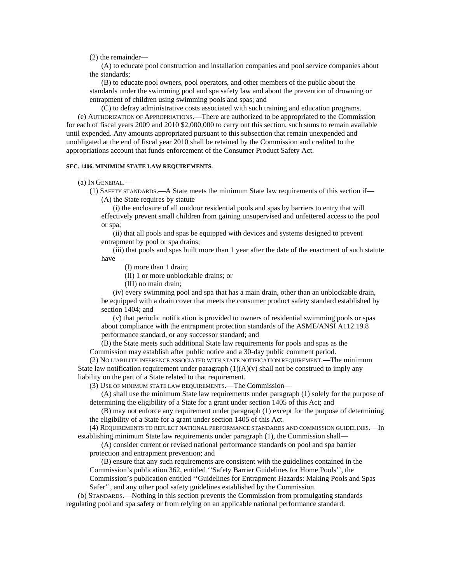(2) the remainder—

 (A) to educate pool construction and installation companies and pool service companies about the standards;

 (B) to educate pool owners, pool operators, and other members of the public about the standards under the swimming pool and spa safety law and about the prevention of drowning or entrapment of children using swimming pools and spas; and

 (C) to defray administrative costs associated with such training and education programs. (e) AUTHORIZATION OF APPROPRIATIONS.—There are authorized to be appropriated to the Commission for each of fiscal years 2009 and 2010 \$2,000,000 to carry out this section, such sums to remain available until expended. Any amounts appropriated pursuant to this subsection that remain unexpended and unobligated at the end of fiscal year 2010 shall be retained by the Commission and credited to the appropriations account that funds enforcement of the Consumer Product Safety Act.

#### **SEC. 1406. MINIMUM STATE LAW REQUIREMENTS.**

(a) IN GENERAL.—

 (1) SAFETY STANDARDS.—A State meets the minimum State law requirements of this section if— (A) the State requires by statute—

 (i) the enclosure of all outdoor residential pools and spas by barriers to entry that will effectively prevent small children from gaining unsupervised and unfettered access to the pool or spa;

 (ii) that all pools and spas be equipped with devices and systems designed to prevent entrapment by pool or spa drains;

 (iii) that pools and spas built more than 1 year after the date of the enactment of such statute have—

(I) more than 1 drain;

(II) 1 or more unblockable drains; or

(III) no main drain;

 (iv) every swimming pool and spa that has a main drain, other than an unblockable drain, be equipped with a drain cover that meets the consumer product safety standard established by section 1404; and

 (v) that periodic notification is provided to owners of residential swimming pools or spas about compliance with the entrapment protection standards of the ASME/ANSI A112.19.8 performance standard, or any successor standard; and

 (B) the State meets such additional State law requirements for pools and spas as the Commission may establish after public notice and a 30-day public comment period.

 (2) NO LIABILITY INFERENCE ASSOCIATED WITH STATE NOTIFICATION REQUIREMENT.—The minimum State law notification requirement under paragraph  $(1)(A)(v)$  shall not be construed to imply any liability on the part of a State related to that requirement.

(3) USE OF MINIMUM STATE LAW REQUIREMENTS.—The Commission—

 (A) shall use the minimum State law requirements under paragraph (1) solely for the purpose of determining the eligibility of a State for a grant under section 1405 of this Act; and

 (B) may not enforce any requirement under paragraph (1) except for the purpose of determining the eligibility of a State for a grant under section 1405 of this Act.

 (4) REQUIREMENTS TO REFLECT NATIONAL PERFORMANCE STANDARDS AND COMMISSION GUIDELINES.—In establishing minimum State law requirements under paragraph (1), the Commission shall—

 (A) consider current or revised national performance standards on pool and spa barrier protection and entrapment prevention; and

 (B) ensure that any such requirements are consistent with the guidelines contained in the Commission's publication 362, entitled ''Safety Barrier Guidelines for Home Pools'', the Commission's publication entitled ''Guidelines for Entrapment Hazards: Making Pools and Spas Safer'', and any other pool safety guidelines established by the Commission.

 (b) STANDARDS.—Nothing in this section prevents the Commission from promulgating standards regulating pool and spa safety or from relying on an applicable national performance standard.